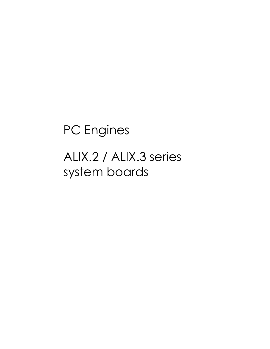# PC Engines

ALIX.2 / ALIX.3 series system boards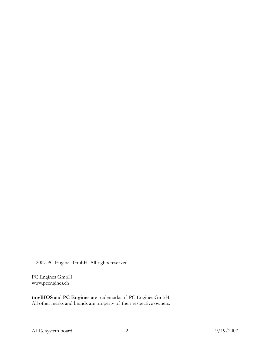2007 PC Engines GmbH. All rights reserved.

PC Engines GmbH www.pcengines.ch

tinyBIOS and PC Engines are trademarks of PC Engines GmbH. All other marks and brands are property of their respective owners.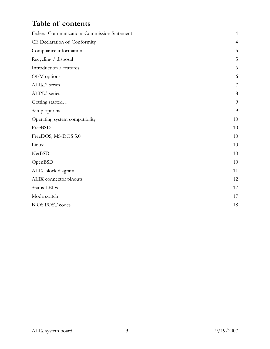# Table of contents

| Federal Communications Commission Statement | $\overline{4}$ |
|---------------------------------------------|----------------|
| CE Declaration of Conformity                | $\overline{4}$ |
| Compliance information                      | 5              |
| Recycling / disposal                        | 5              |
| Introduction / features                     | 6              |
| OEM options                                 | 6              |
| ALIX.2 series                               | 7              |
| ALIX.3 series                               | 8              |
| Getting started                             | 9              |
| Setup options                               | 9              |
| Operating system compatibility              | 10             |
| FreeBSD                                     | 10             |
| FreeDOS, MS-DOS 5.0                         | 10             |
| Linux                                       | 10             |
| <b>NetBSD</b>                               | 10             |
| OpenBSD                                     | 10             |
| ALIX block diagram                          | 11             |
| ALIX connector pinouts                      | 12             |
| Status LEDs                                 | 17             |
| Mode switch                                 | 17             |
| <b>BIOS POST</b> codes                      | 18             |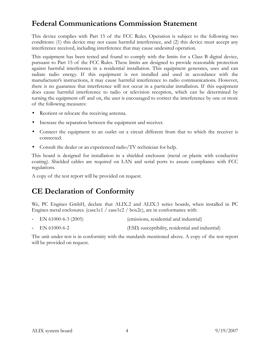### Federal Communications Commission Statement

This device complies with Part 15 of the FCC Rules. Operation is subject to the following two conditions: (1) this device may not cause harmful interference, and (2) this device must accept any interference received, including interference that may cause undesired operation.

This equipment has been tested and found to comply with the limits for a Class B digital device, pursuant to Part 15 of the FCC Rules. These limits are designed to provide reasonable protection against harmful interference in a residential installation. This equipment generates, uses and can radiate radio energy. If this equipment is not installed and used in accordance with the manufacturer's instructions, it may cause harmful interference to radio communications. However, there is no guarantee that interference will not occur in a particular installation. If this equipment does cause harmful interference to radio or television reception, which can be determined by turning the equipment off and on, the user is encouraged to correct the interference by one or more of the following measures:

- Reorient or relocate the receiving antenna.
- Increase the separation between the equipment and receiver.
- Connect the equipment to an outlet on a circuit different from that to which the receiver is connected.
- Consult the dealer or an experienced radio/TV technician for help.

This board is designed for installation in a shielded enclosure (metal or plastic with conductive coating). Shielded cables are required on LAN and serial ports to assure compliance with FCC regulations.

A copy of the test report will be provided on request.

### CE Declaration of Conformity

We, PC Engines GmbH, declare that ALIX.2 and ALIX.3 series boards, when installed in PC Engines metal enclosures. (case1c1 / case1c2 / box2c), are in conformance with:

- EN 61000-6-3 (2005) (emissions, residential and industrial)
- EN 61000-6-2 (ESD, susceptibility, residential and industrial)

The unit under test is in conformity with the standards mentioned above. A copy of the test report will be provided on request.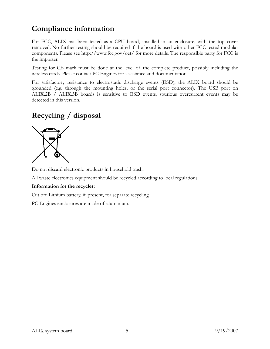# Compliance information

For FCC, ALIX has been tested as a CPU board, installed in an enclosure, with the top cover removed. No further testing should be required if the board is used with other FCC tested modular components. Please see http://www.fcc.gov/oet/ for more details. The responsible party for FCC is the importer.

Testing for CE mark must be done at the level of the complete product, possibly including the wireless cards. Please contact PC Engines for assistance and documentation.

For satisfactory resistance to electrostatic discharge events (ESD), the ALIX board should be grounded (e.g. through the mounting holes, or the serial port connector). The USB port on ALIX.2B / ALIX.3B boards is sensitive to ESD events, spurious overcurrent events may be detected in this version.

# Recycling / disposal



Do not discard electronic products in household trash!

All waste electronics equipment should be recycled according to local regulations.

#### Information for the recycler:

Cut off Lithium battery, if present, for separate recycling.

PC Engines enclosures are made of aluminium.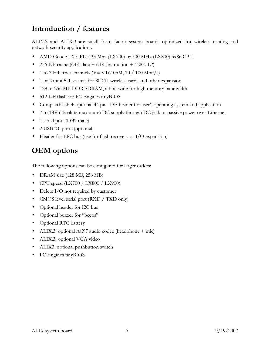# Introduction / features

ALIX.2 and ALIX.3 are small form factor system boards optimized for wireless routing and network security applications.

- AMD Geode LX CPU, 433 Mhz (LX700) or 500 MHz (LX800) 5x86 CPU,
- 256 KB cache (64K data + 64K instruction + 128K L2)
- 1 to 3 Ethernet channels (Via VT6105M, 10 / 100 Mbit/s)
- 1 or 2 miniPCI sockets for 802.11 wireless cards and other expansion
- 128 or 256 MB DDR SDRAM, 64 bit wide for high memory bandwidth
- 512 KB flash for PC Engines tinyBIOS
- CompactFlash + optional 44 pin IDE header for user's operating system and application
- 7 to 18V (absolute maximum) DC supply through DC jack or passive power over Ethernet
- 1 serial port (DB9 male)
- 2 USB 2.0 ports (optional)
- Header for LPC bus (use for flash recovery or I/O expansion)

### OEM options

The following options can be configured for larger orders:

- DRAM size (128 MB, 256 MB)
- CPU speed  $(LX700 / LX800 / LX900)$
- Delete I/O not required by customer
- CMOS level serial port (RXD / TXD only)
- Optional header for I2C bus
- Optional buzzer for "beeps"
- Optional RTC battery
- ALIX.3: optional AC97 audio codec (headphone + mic)
- ALIX.3: optional VGA video
- ALIX3: optional pushbutton switch
- PC Engines tinyBIOS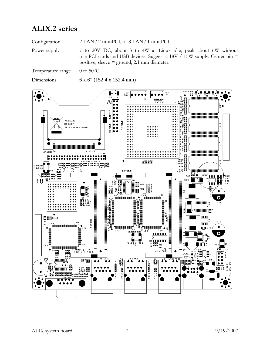### ALIX.2 series

Configuration 2 LAN / 2 miniPCI, or 3 LAN / 1 miniPCI

Power supply 7 to 20V DC, about 3 to 4W at Linux idle, peak about 6W without miniPCI cards and USB devices. Suggest a 18V  $/$  15W supply. Center pin = positive, sleeve = ground, 2.1 mm diameter.

Temperature range  $0$  to 50 $\degree$ C.

Dimensions 6 x 6" (152.4 x 152.4 mm)

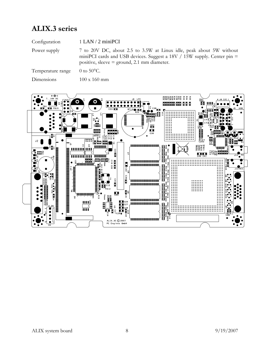# ALIX.3 series

| Configuration     | $1$ LAN $/$ 2 miniPCI                                                                                                                                                                             |
|-------------------|---------------------------------------------------------------------------------------------------------------------------------------------------------------------------------------------------|
| Power supply      | 7 to 20V DC, about 2.5 to 3.5W at Linux idle, peak about 5W without<br>miniPCI cards and USB devices. Suggest a 18V $/$ 15W supply. Center pin =<br>positive, sleeve $=$ ground, 2.1 mm diameter. |
| Temperature range | 0 to $50^{\circ}$ C.                                                                                                                                                                              |

Dimensions 100 x 160 mm

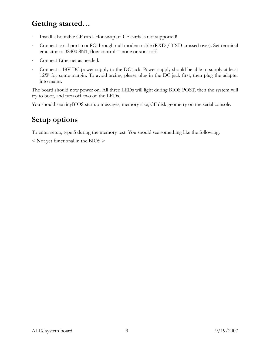# Getting started…

- Install a bootable CF card. Hot swap of CF cards is not supported!
- Connect serial port to a PC through null modem cable (RXD / TXD crossed over). Set terminal emulator to  $38400 8N1$ , flow control = none or xon-xoff.
- Connect Ethernet as needed.
- Connect a 18V DC power supply to the DC jack. Power supply should be able to supply at least 12W for some margin. To avoid arcing, please plug in the DC jack first, then plug the adapter into mains.

The board should now power on. All three LEDs will light during BIOS POST, then the system will try to boot, and turn off two of the LEDs.

You should see tinyBIOS startup messages, memory size, CF disk geometry on the serial console.

### Setup options

To enter setup, type S during the memory test. You should see something like the following:

< Not yet functional in the BIOS >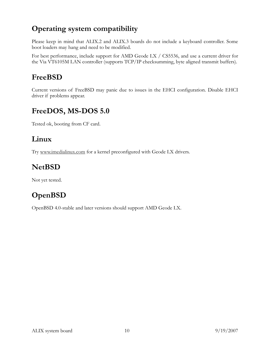# Operating system compatibility

Please keep in mind that ALIX.2 and ALIX.3 boards do not include a keyboard controller. Some boot loaders may hang and need to be modified.

For best performance, include support for AMD Geode LX / CS5536, and use a current driver for the Via VT6105M LAN controller (supports TCP/IP checksumming, byte aligned transmit buffers).

# FreeBSD

Current versions of FreeBSD may panic due to issues in the EHCI configuration. Disable EHCI driver if problems appear.

# FreeDOS, MS-DOS 5.0

Tested ok, booting from CF card.

### Linux

Try www.imedialinux.com for a kernel preconfigured with Geode LX drivers.

# NetBSD

Not yet tested.

# OpenBSD

OpenBSD 4.0-stable and later versions should support AMD Geode LX.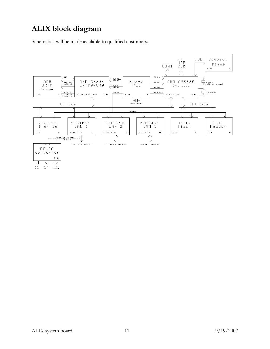# ALIX block diagram

Schematics will be made available to qualified customers.

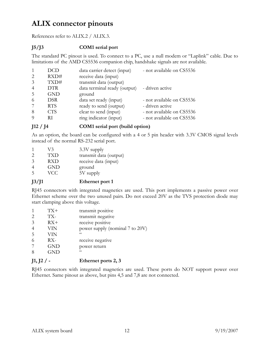# ALIX connector pinouts

References refer to ALIX.2 / ALIX.3.

#### J5/J3 COM1 serial port

The standard PC pinout is used. To connect to a PC, use a null modem or "Laplink" cable. Due to limitations of the AMD CS5536 companion chip, handshake signals are not available.

|                | DCD        | data carrier detect (input)  | - not available on CS5536 |
|----------------|------------|------------------------------|---------------------------|
| $\mathcal{L}$  | RXD#       | receive data (input)         |                           |
| 3              | TXD#       | transmit data (output)       |                           |
| $\overline{4}$ | <b>DTR</b> | data terminal ready (output) | - driven active           |
| 5              | GND        | ground                       |                           |
| -6             | <b>DSR</b> | data set ready (input)       | - not available on CS5536 |
|                | <b>RTS</b> | ready to send (output)       | - driven active           |
| 8              | CTS        | clear to send (input)        | - not available on CS5536 |
|                | RТ         | ring indicator (input)       | - not available on CS5536 |

### J12 / J4 COM1 serial port (build option)

As an option, the board can be configured with a 4 or 5 pin header with 3.3V CMOS signal levels instead of the normal RS-232 serial port.

|               | V3         | $3.3V$ supply          |
|---------------|------------|------------------------|
| $\mathcal{P}$ | TXD        | transmit data (output) |
| $\mathcal{E}$ | <b>RXD</b> | receive data (input)   |
|               | <b>GND</b> | ground                 |
| -5            | VCC.       | 5V supply              |
|               |            |                        |

### J3/J1 Ethernet port 1

RJ45 connectors with integrated magnetics are used. This port implements a passive power over Ethernet scheme over the two unused pairs. Do not exceed 20V as the TVS protection diode may start clamping above this voltage.

| $TX+$<br>TX-<br>$\mathcal{D}_{\mathcal{L}}$<br>3<br>$RX+$<br>$\overline{4}$<br>VIN<br>5<br>VIN<br>$RX-$<br>6<br><b>GND</b><br>8<br>GND | transmit positive<br>transmit negative<br>receive positive<br>power supply (nominal 7 to 20V)<br>$\epsilon$<br>receive negative<br>power return<br>$\epsilon$ |
|----------------------------------------------------------------------------------------------------------------------------------------|---------------------------------------------------------------------------------------------------------------------------------------------------------------|
|----------------------------------------------------------------------------------------------------------------------------------------|---------------------------------------------------------------------------------------------------------------------------------------------------------------|

### $J1, J2$  / - Ethernet ports 2, 3

RJ45 connectors with integrated magnetics are used. These ports do NOT support power over Ethernet. Same pinout as above, but pins 4,5 and 7,8 are not connected.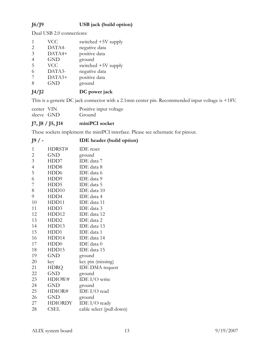### J6/J9 USB jack (build option)

Dual USB 2.0 connections:

| I4/I2          |            | DC power jack         |
|----------------|------------|-----------------------|
| 8              | <b>GND</b> | ground                |
|                | DATA3+     | positive data         |
|                | DATA3-     | negative data         |
| 5              | <b>VCC</b> | switched +5V supply   |
|                | <b>GND</b> | ground                |
| 3              | DATA4+     | positive data         |
| $\overline{2}$ | DATA4-     | negative data         |
|                | <b>VCC</b> | switched $+5V$ supply |

This is a generic DC jack connector with a 2.1mm center pin. Recommended input voltage is +18V.

| center VIN | Positive input voltage |
|------------|------------------------|
| sleeve GND | Ground                 |

#### J7, J8 / J5, J14 miniPCI socket

These sockets implement the miniPCI interface. Please see schematic for pinout.

| $J9/$ - | <b>IDE</b> header (build option) |  |
|---------|----------------------------------|--|
|         |                                  |  |

| $\mathbf{1}$   | HDRST#           | <b>IDE</b> reset         |
|----------------|------------------|--------------------------|
| $\overline{c}$ | <b>GND</b>       | ground                   |
| $\mathfrak{Z}$ | HDD7             | IDE data 7               |
| $\overline{4}$ | HDD <sub>8</sub> | IDE data 8               |
| 5              | HDD <sub>6</sub> | IDE data 6               |
| 6              | HDD9             | IDE data 9               |
| 7              | HDD5             | IDE data 5               |
| 8              | HDD10            | IDE data 10              |
| 9              | HDD4             | IDE data 4               |
| 10             | HDD11            | IDE data 11              |
| 11             | HDD3             | IDE data 3               |
| 12             | HDD12            | IDE data 12              |
| 13             | HDD2             | IDE data 2               |
| 14             | HDD13            | IDE data 13              |
| 15             | HDD1             | IDE data 1               |
| 16             | HDD14            | IDE data 14              |
| 17             | HDD0             | IDE data 0               |
| 18             | HDD15            | IDE data 15              |
| 19             | <b>GND</b>       | ground                   |
| 20             | key              | key pin (missing)        |
| 21             | <b>HDRQ</b>      | <b>IDE DMA</b> request   |
| 22             | <b>GND</b>       | ground                   |
| 23             | HDIOW#           | IDE $I/O$ write          |
| 24             | GND              | ground                   |
| 25             | HDIOR#           | IDE I/O read             |
| 26             | <b>GND</b>       | ground                   |
| 27             | HDIORDY          | IDE I/O ready            |
| 28             | CSEL             | cable select (pull down) |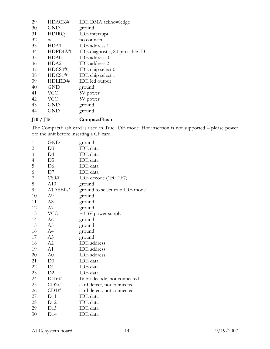| 29 | HDACK#           | <b>IDE DMA</b> acknowledge      |
|----|------------------|---------------------------------|
| 30 | <b>GND</b>       | ground                          |
| 31 | <b>HDIRQ</b>     | IDE interrupt                   |
| 32 | nc               | no connect                      |
| 33 | HDA1             | IDE address 1                   |
| 34 | HDPDIA#          | IDE diagnostic, 80 pin cable ID |
| 35 | HDA0             | IDE address 0                   |
| 36 | HDA <sub>2</sub> | IDE address 2                   |
| 37 | HDCS0#           | IDE chip select $0$             |
| 38 | HDCS1#           | IDE chip select 1               |
| 39 | HDLED#           | IDE led output                  |
| 40 | <b>GND</b>       | ground                          |
| 41 | <b>VCC</b>       | 5V power                        |
| 42 | <b>VCC</b>       | 5V power                        |
| 43 | GND              | ground                          |
| 44 | GND              | ground                          |
|    |                  |                                 |

### J10 / J15 CompactFlash

The CompactFlash card is used in True IDE mode. Hot insertion is not supported – please power off the unit before inserting a CF card.

| 1                       | GND            | ground                         |
|-------------------------|----------------|--------------------------------|
| $\overline{\mathbf{c}}$ | D <sub>3</sub> | IDE data                       |
| $\overline{3}$          | D4             | <b>IDE</b> data                |
| $\overline{4}$          | D <sub>5</sub> | <b>IDE</b> data                |
| 5                       | D <sub>6</sub> | IDE data                       |
| 6                       | D7             | <b>IDE</b> data                |
| 7                       | CS0#           | IDE decode (1F01F7)            |
| 8                       | A10            | ground                         |
| 9                       | ATASEL#        | ground to select true IDE mode |
| 10                      | A9             | ground                         |
| 11                      | A8             | ground                         |
| 12                      | A7             | ground                         |
| 13                      | <b>VCC</b>     | +3.3V power supply             |
| 14                      | A6             | ground                         |
| 15                      | A <sub>5</sub> | ground                         |
| 16                      | A4             | ground                         |
| 17                      | A3             | ground                         |
| 18                      | A2             | <b>IDE</b> address             |
| 19                      | A <sub>1</sub> | <b>IDE</b> address             |
| 20                      | A <sub>0</sub> | <b>IDE</b> address             |
| 21                      | D <sub>0</sub> | IDE data                       |
| 22                      | D <sub>1</sub> | <b>IDE</b> data                |
| 23                      | D2             | <b>IDE</b> data                |
| 24                      | IO16#          | 16 bit decode, not connected   |
| 25                      | CD2#           | card detect, not connected     |
| 26                      | CD1#           | card detect. not connected     |
| 27                      | D11            | <b>IDE</b> data                |
| 28                      | D12            | IDE data                       |
| 29                      | D13            | IDE data                       |
| 30                      | D14            | IDE data                       |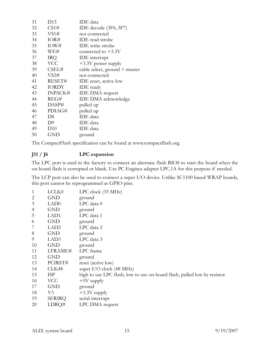| 31 | D15            | IDE data                        |
|----|----------------|---------------------------------|
| 32 | CS1#           | IDE decode (3F63F7)             |
| 33 | VS1#           | not connected                   |
| 34 | IOR#           | <b>IDE</b> read strobe          |
| 35 | IOW#           | <b>IDE</b> write strobe         |
| 36 | WE#            | connected to $+3.3V$            |
| 37 | <b>IRQ</b>     | <b>IDE</b> interrupt            |
| 38 | <b>VCC</b>     | $+3.3V$ power supply            |
| 39 | CSEL#          | cable select, ground $=$ master |
| 40 | VS2#           | not connected                   |
| 41 | RESET#         | IDE reset, active low           |
| 42 | <b>IORDY</b>   | <b>IDE</b> ready                |
| 43 | <b>INPACK#</b> | <b>IDE DMA</b> request          |
| 44 | REG#           | <b>IDE DMA</b> acknowledge      |
| 45 | DASP#          | pulled up                       |
| 46 | PDIAG#         | pulled up                       |
| 47 | D <sub>8</sub> | IDE data                        |
| 48 | D <sub>9</sub> | IDE data                        |
| 49 | D10            | IDE data                        |
| 50 | GND            | ground                          |

The CompactFlash specification can be found at www.compactflash.org.

#### J11 / J6 LPC expansion

The LPC port is used in the factory to connect an alternate flash BIOS to start the board when the on-board flash is corrupted or blank. Use PC Engines adapter LPC.1A for this purpose if needed.

The LCP port can also be used to connect a super I/O device. Unlike SC1100 based WRAP boards, this port cannot be reprogrammed as GPIO pins.

| 1              | LCLK0            | $LPC$ clock $(33 \text{ MHz})$                                           |
|----------------|------------------|--------------------------------------------------------------------------|
| $\overline{2}$ | <b>GND</b>       | ground                                                                   |
| 3              | LAD <sub>0</sub> | LPC data 0                                                               |
| $\overline{4}$ | <b>GND</b>       | ground                                                                   |
| 5              | LAD1             | LPC data 1                                                               |
| 6              | <b>GND</b>       | ground                                                                   |
| 7              | LAD <sub>2</sub> | LPC data 2                                                               |
| 8              | <b>GND</b>       | ground                                                                   |
| 9              | LAD3             | LPC data 3                                                               |
| 10             | <b>GND</b>       | ground                                                                   |
| 11             | LFRAME#          | LPC frame                                                                |
| 12             | GND              | ground                                                                   |
| 13             | PCIRST#          | reset (active low)                                                       |
| 14             | CLK48            | super $I/O$ clock (48 MHz)                                               |
| 15             | <b>ISP</b>       | high to use LPC flash, low to use on-board flash, pulled low by resistor |
| 16             | <b>VCC</b>       | $+5V$ supply                                                             |
| 17             | <b>GND</b>       | ground                                                                   |
| 18             | V <sub>3</sub>   | $+3.3V$ supply                                                           |
| 19             | <b>SERIRQ</b>    | serial interrupt                                                         |
| 20             | LDRQ#            | LPC DMA request                                                          |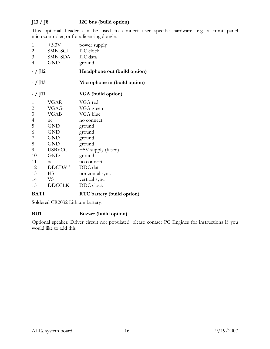### J13 / J8 I2C bus (build option)

This optional header can be used to connect user specific hardware, e.g. a front panel microcontroller, or for a licensing dongle.

| 1<br>$\overline{c}$<br>3<br>$\overline{4}$ | $+3.3V$<br>SMB_SCL I2C clock<br>SMB_SDA I2C data<br><b>GND</b> | power supply<br>ground       |
|--------------------------------------------|----------------------------------------------------------------|------------------------------|
| <i>- /</i> J12                             |                                                                | Headphone out (build option) |
| - / J13                                    |                                                                | Microphone in (build option) |
| - / J11                                    |                                                                | VGA (build option)           |
| 1                                          | <b>VGAR</b>                                                    | VGA red                      |
| $\mathbf{2}$                               | <b>VGAG</b>                                                    | VGA green                    |
| 3                                          | <b>VGAB</b>                                                    | VGA blue                     |
| $\overline{4}$                             | nc                                                             | no connect                   |
| 5                                          | <b>GND</b>                                                     | ground                       |
| 6                                          | <b>GND</b>                                                     | ground                       |
| 7                                          | <b>GND</b>                                                     | ground                       |
| 8                                          | <b>GND</b>                                                     | ground                       |
| 9                                          | <b>USBVCC</b>                                                  | +5V supply (fused)           |
| 10                                         | <b>GND</b>                                                     | ground                       |
| 11                                         | nc                                                             | no connect                   |
| 12                                         | <b>DDCDAT</b>                                                  | DDC data                     |
| 13                                         | HS                                                             | horizontal sync              |
| 14                                         | VS                                                             | vertical sync                |
| 15                                         | <b>DDCCLK</b>                                                  | DDC clock                    |
|                                            |                                                                |                              |

### BAT1 RTC battery (build option)

Soldered CR2032 Lithium battery.

#### BU1 Buzzer (build option)

Optional speaker. Driver circuit not populated, please contact PC Engines for instructions if you would like to add this.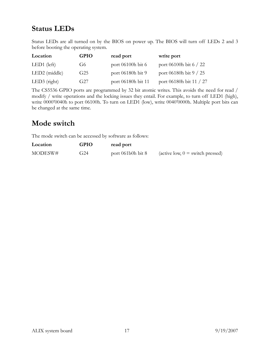# Status LEDs

Status LEDs are all turned on by the BIOS on power up. The BIOS will turn off LEDs 2 and 3 before booting the operating system.

| Location        | <b>GPIO</b>     | read port          | write port              |
|-----------------|-----------------|--------------------|-------------------------|
| $LED1$ (left)   | G6              | port 06100h bit 6  | port 06100h bit 6 / 22  |
| $LED2$ (middle) | G <sub>25</sub> | port 06180h bit 9  | port 06180h bit 9 / 25  |
| $LED3$ (right)  | G27             | port 06180h bit 11 | port 06180h bit 11 / 27 |

The CS5536 GPIO ports are programmed by 32 bit atomic writes. This avoids the need for read / modify / write operations and the locking issues they entail. For example, to turn off LED1 (high), write 0000'0040h to port 06100h. To turn on LED1 (low), write 0040'0000h. Multiple port bits can be changed at the same time.

### Mode switch

The mode switch can be accessed by software as follows:

| Location | GPIO | read port                 |                                                  |
|----------|------|---------------------------|--------------------------------------------------|
| MODESW#  | G24  | port $061$ b $0h$ bit $8$ | $(\text{active low}, 0 = \text{switch pressed})$ |